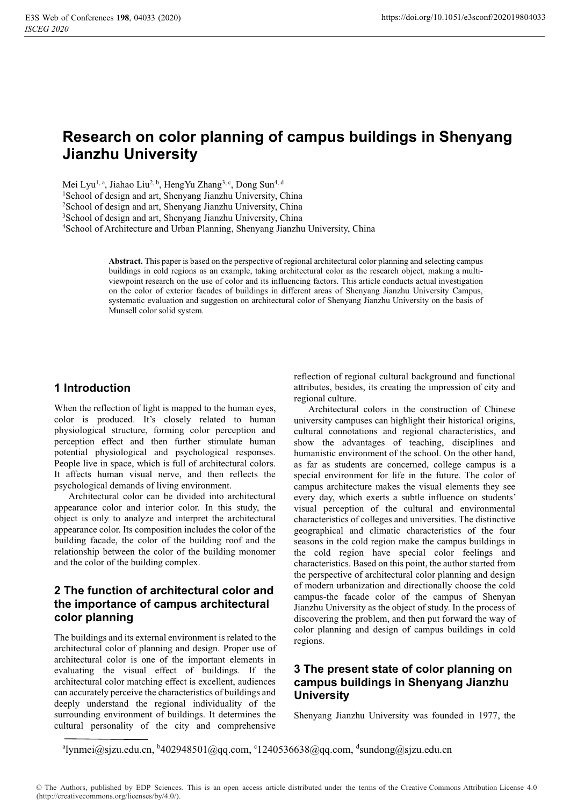# **Research on color planning of campus buildings in Shenyang Jianzhu University**

Mei Lyu<sup>1, a</sup>, Jiahao Liu<sup>2, b</sup>, HengYu Zhang<sup>3, c</sup>, Dong Sun<sup>4, d</sup>

1 School of design and art, Shenyang Jianzhu University, China

2 School of design and art, Shenyang Jianzhu University, China

3 School of design and art, Shenyang Jianzhu University, China

4 School of Architecture and Urban Planning, Shenyang Jianzhu University, China

**Abstract.** This paper is based on the perspective of regional architectural color planning and selecting campus buildings in cold regions as an example, taking architectural color as the research object, making a multiviewpoint research on the use of color and its influencing factors. This article conducts actual investigation on the color of exterior facades of buildings in different areas of Shenyang Jianzhu University Campus, systematic evaluation and suggestion on architectural color of Shenyang Jianzhu University on the basis of Munsell color solid system.

### **1 Introduction**

When the reflection of light is mapped to the human eyes, color is produced. It's closely related to human physiological structure, forming color perception and perception effect and then further stimulate human potential physiological and psychological responses. People live in space, which is full of architectural colors. It affects human visual nerve, and then reflects the psychological demands of living environment.

Architectural color can be divided into architectural appearance color and interior color. In this study, the object is only to analyze and interpret the architectural appearance color. Its composition includes the color of the building facade, the color of the building roof and the relationship between the color of the building monomer and the color of the building complex.

### **2 The function of architectural color and the importance of campus architectural color planning**

The buildings and its external environment is related to the architectural color of planning and design. Proper use of architectural color is one of the important elements in evaluating the visual effect of buildings. If the architectural color matching effect is excellent, audiences can accurately perceive the characteristics of buildings and deeply understand the regional individuality of the surrounding environment of buildings. It determines the cultural personality of the city and comprehensive

reflection of regional cultural background and functional attributes, besides, its creating the impression of city and regional culture.

Architectural colors in the construction of Chinese university campuses can highlight their historical origins, cultural connotations and regional characteristics, and show the advantages of teaching, disciplines and humanistic environment of the school. On the other hand, as far as students are concerned, college campus is a special environment for life in the future. The color of campus architecture makes the visual elements they see every day, which exerts a subtle influence on students' visual perception of the cultural and environmental characteristics of colleges and universities. The distinctive geographical and climatic characteristics of the four seasons in the cold region make the campus buildings in the cold region have special color feelings and characteristics. Based on this point, the author started from the perspective of architectural color planning and design of modern urbanization and directionally choose the cold campus-the facade color of the campus of Shenyan Jianzhu University as the object of study. In the process of discovering the problem, and then put forward the way of color planning and design of campus buildings in cold regions.

# **3 The present state of color planning on campus buildings in Shenyang Jianzhu University**

Shenyang Jianzhu University was founded in 1977, the

<sup>a</sup>lynmei@sjzu.edu.cn, <sup>b</sup>402948501@qq.com, <sup>c</sup>1240536638@qq.com, <sup>d</sup>sundong@sjzu.edu.cn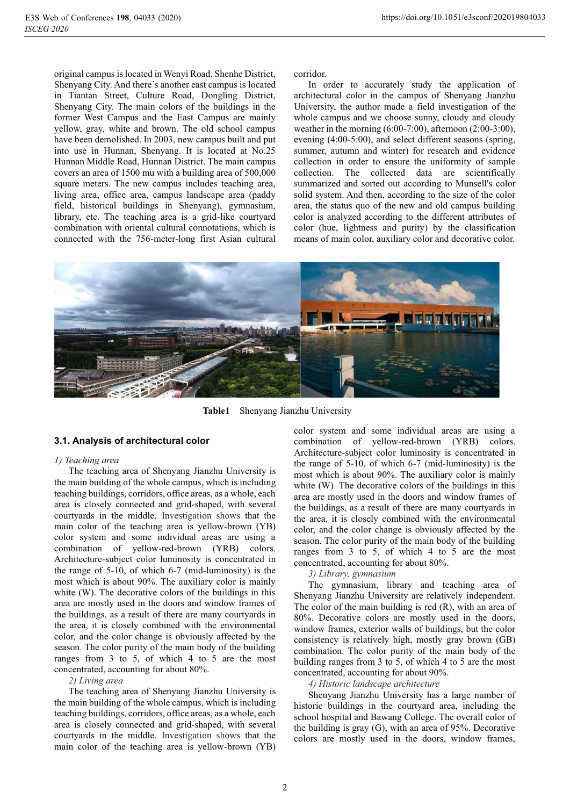original campus is located in Wenyi Road, Shenhe District, Shenyang City. And there's another east campus is located in Tiantan Street, Culture Road, Dongling District, Shenyang City. The main colors of the buildings in the former West Campus and the East Campus are mainly yellow, gray, white and brown. The old school campus have been demolished. In 2003, new campus built and put into use in Hunnan, Shenyang. It is located at No.25 Hunnan Middle Road, Hunnan District. The main campus covers an area of 1500 mu with a building area of 500,000 square meters. The new campus includes teaching area, living area, office area, campus landscape area (paddy field, historical buildings in Shenyang), gymnasium, library, etc. The teaching area is a grid-like courtyard combination with oriental cultural connotations, which is connected with the 756-meter-long first Asian cultural

corridor.

In order to accurately study the application of architectural color in the campus of Shenyang Jianzhu University, the author made a field investigation of the whole campus and we choose sunny, cloudy and cloudy weather in the morning (6:00-7:00), afternoon (2:00-3:00), evening (4:00-5:00), and select different seasons (spring, summer, autumn and winter) for research and evidence collection in order to ensure the uniformity of sample collection. The collected data are scientifically summarized and sorted out according to Munsell's color solid system. And then, according to the size of the color area, the status quo of the new and old campus building color is analyzed according to the different attributes of color (hue, lightness and purity) by the classification means of main color, auxiliary color and decorative color.



**Table1** Shenyang Jianzhu University

#### **3.1. Analysis of architectural color**

#### *1) Teaching area*

The teaching area of Shenyang Jianzhu University is the main building of the whole campus, which is including teaching buildings, corridors, office areas, as a whole, each area is closely connected and grid-shaped, with several courtyards in the middle. Investigation shows that the main color of the teaching area is yellow-brown (YB) color system and some individual areas are using a combination of yellow-red-brown (YRB) colors. Architecture-subject color luminosity is concentrated in the range of 5-10, of which 6-7 (mid-luminosity) is the most which is about 90%. The auxiliary color is mainly white (W). The decorative colors of the buildings in this area are mostly used in the doors and window frames of the buildings, as a result of there are many courtyards in the area, it is closely combined with the environmental color, and the color change is obviously affected by the season. The color purity of the main body of the building ranges from 3 to 5, of which 4 to 5 are the most concentrated, accounting for about 80%.

#### *2) Living area*

The teaching area of Shenyang Jianzhu University is the main building of the whole campus, which is including teaching buildings, corridors, office areas, as a whole, each area is closely connected and grid-shaped, with several courtyards in the middle. Investigation shows that the main color of the teaching area is yellow-brown (YB)

color system and some individual areas are using a combination of yellow-red-brown (YRB) colors. Architecture-subject color luminosity is concentrated in the range of 5-10, of which 6-7 (mid-luminosity) is the most which is about 90%. The auxiliary color is mainly white (W). The decorative colors of the buildings in this area are mostly used in the doors and window frames of the buildings, as a result of there are many courtyards in the area, it is closely combined with the environmental color, and the color change is obviously affected by the season. The color purity of the main body of the building ranges from 3 to 5, of which 4 to 5 are the most concentrated, accounting for about 80%.

#### *3) Library, gymnasium*

The gymnasium, library and teaching area of Shenyang Jianzhu University are relatively independent. The color of the main building is red (R), with an area of 80%. Decorative colors are mostly used in the doors, window frames, exterior walls of buildings, but the color consistency is relatively high, mostly gray brown (GB) combination. The color purity of the main body of the building ranges from 3 to 5, of which 4 to 5 are the most concentrated, accounting for about 90%.

*4) Historic landscape architecture*

Shenyang Jianzhu University has a large number of historic buildings in the courtyard area, including the school hospital and Bawang College. The overall color of the building is gray (G), with an area of 95%. Decorative colors are mostly used in the doors, window frames,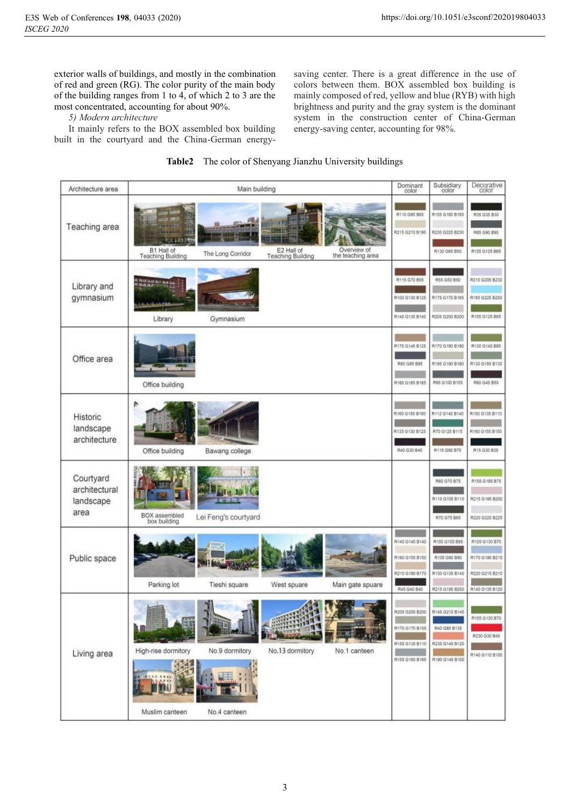exterior walls of buildings, and mostly in the combination of red and green (RG). The color purity of the main body of the building ranges from 1 to 4, of which 2 to 3 are the most concentrated, accounting for about 90%.

*5) Modern architecture*

It mainly refers to the BOX assembled box building built in the courtyard and the China-German energy-

saving center. There is a great difference in the use of colors between them. BOX assembled box building is mainly composed of red, yellow and blue (RYB) with high brightness and purity and the gray system is the dominant system in the construction center of China-German energy-saving center, accounting for 98%.

| Architecture area                               | Main building                                                                                                                                                  | Dominant<br>color                                                   | Subsidiary<br>color                                               | Decorative<br>color                                                 |
|-------------------------------------------------|----------------------------------------------------------------------------------------------------------------------------------------------------------------|---------------------------------------------------------------------|-------------------------------------------------------------------|---------------------------------------------------------------------|
| Teaching area                                   | <b>Rior and a</b><br>Overview of<br>B1 Hall of<br>E2 Hall of<br>The Long Corridor<br>the teaching area<br><b>Teaching Building</b><br><b>Teaching Building</b> | R110 G95 B65<br>R215 G210 B190                                      | R155 G160 B165<br>R230 0225 B230<br>R130 G65 B60                  | R35 G35 B30<br>R85 G90 B95<br>R105 G125 B65                         |
| Library and<br>gymnasium                        | <b>BLACK ALL MAIL</b><br>Library<br>Gymnasium                                                                                                                  | R115 G70 B55<br>R100.G130 B125<br>R140 G135 B140                    | R55 G50 B50<br>R175 G170 B165<br>R205 G200 B200                   | R210 G205 B230<br>R150 G225 B250<br>R105 G125 B65                   |
| Office area                                     | Office building                                                                                                                                                | R175 G145 B125<br>R80 G85 B95<br>R160 G165 B165                     | R170 G190 B190<br>R195 G190 B180<br>R95 G100 B105                 | R130 G140 B85<br>R130 G155 B130<br>R60 G45 B50                      |
| Historic<br>landscape<br>architecture           | ř,<br>Office building<br>Bawang college                                                                                                                        | R160 G155 8150<br>R135 G130 B125<br>R40 G30 B40                     | R112 G140 B140<br>R70 G125 B115<br>R115 G90 B75                   | R150 G135 B110<br>R160 G155 B150<br>R15 G30 B35                     |
| Courtyard<br>architectural<br>landscape<br>area | BOX assembled<br>box building<br>Lei Feng's courtyard                                                                                                          |                                                                     | R60 G70 B75<br>R110 G105 B110<br>R70 G75 B65                      | R155 G195 B75<br>R215 G195 B200<br>R220 G220 B225                   |
| Public space                                    | Parking lot<br>Tieshi square<br>West spuare<br>Main gate spuare                                                                                                | R140 G140 B140<br>R160 G155 B150<br>R210 G190 8170<br>R45 G40 B40   | R100 G100 B95<br>R105 G90 B90<br>R130 G135 B140<br>R215 G195 B200 | R105 G130 B70<br>R170 G190 B215<br>R220 G215 B210<br>R140 G135 B120 |
| Living area                                     | High-rise dormitory<br>No.13 dormitory<br>No.9 dormitory<br>No.1 canteen                                                                                       | 205 G200 B200<br>R170 G170 B155<br>R155 G135 B110<br>R155 G160 B165 | R145 G210 B1<br>R40 GB0 B135<br>R230 G145 B120<br>R190 G145 B100  | R105 G130 B70<br>R230 G30 B45<br>R140 G110 B100                     |
|                                                 | Muslim canteen<br>No.4 canteen                                                                                                                                 |                                                                     |                                                                   |                                                                     |

### **Table2** The color of Shenyang Jianzhu University buildings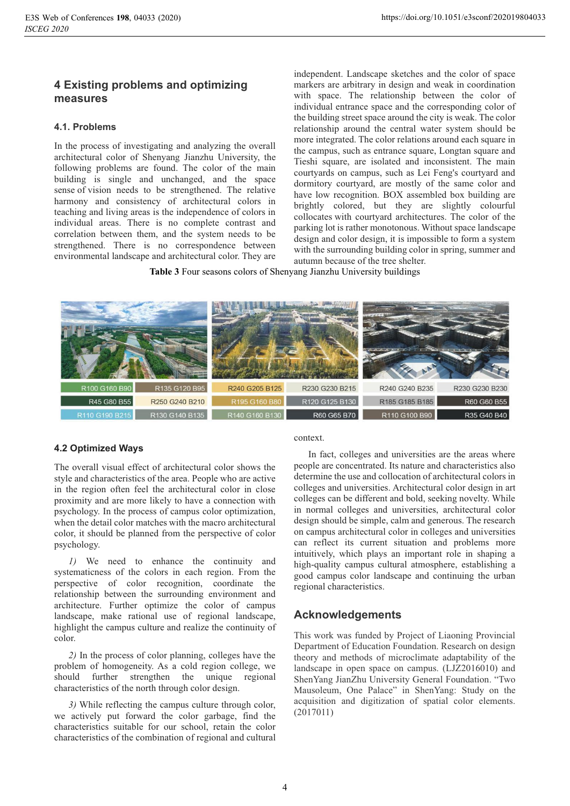## **4 Existing problems and optimizing measures**

### **4.1. Problems**

In the process of investigating and analyzing the overall architectural color of Shenyang Jianzhu University, the following problems are found. The color of the main building is single and unchanged, and the space sense of vision needs to be strengthened. The relative harmony and consistency of architectural colors in teaching and living areas is the independence of colors in individual areas. There is no complete contrast and correlation between them, and the system needs to be strengthened. There is no correspondence between environmental landscape and architectural color. They are

independent. Landscape sketches and the color of space markers are arbitrary in design and weak in coordination with space. The relationship between the color of individual entrance space and the corresponding color of the building street space around the city is weak. The color relationship around the central water system should be more integrated. The color relations around each square in the campus, such as entrance square, Longtan square and Tieshi square, are isolated and inconsistent. The main courtyards on campus, such as Lei Feng's courtyard and dormitory courtyard, are mostly of the same color and have low recognition. BOX assembled box building are brightly colored, but they are slightly colourful collocates with courtyard architectures. The color of the parking lot is rather monotonous. Without space landscape design and color design, it is impossible to form a system with the surrounding building color in spring, summer and autumn because of the tree shelter.

**Table 3** Four seasons colors of Shenyang Jianzhu University buildings



### **4.2 Optimized Ways**

The overall visual effect of architectural color shows the style and characteristics of the area. People who are active in the region often feel the architectural color in close proximity and are more likely to have a connection with psychology. In the process of campus color optimization, when the detail color matches with the macro architectural color, it should be planned from the perspective of color psychology.

*1)* We need to enhance the continuity and systematicness of the colors in each region. From the perspective of color recognition, coordinate the relationship between the surrounding environment and architecture. Further optimize the color of campus landscape, make rational use of regional landscape, highlight the campus culture and realize the continuity of color.

*2)* In the process of color planning, colleges have the problem of homogeneity. As a cold region college, we should further strengthen the unique regional characteristics of the north through color design.

*3)* While reflecting the campus culture through color, we actively put forward the color garbage, find the characteristics suitable for our school, retain the color characteristics of the combination of regional and cultural context.

In fact, colleges and universities are the areas where people are concentrated. Its nature and characteristics also determine the use and collocation of architectural colors in colleges and universities. Architectural color design in art colleges can be different and bold, seeking novelty. While in normal colleges and universities, architectural color design should be simple, calm and generous. The research on campus architectural color in colleges and universities can reflect its current situation and problems more intuitively, which plays an important role in shaping a high-quality campus cultural atmosphere, establishing a good campus color landscape and continuing the urban regional characteristics.

# **Acknowledgements**

This work was funded by Project of Liaoning Provincial Department of Education Foundation. Research on design theory and methods of microclimate adaptability of the landscape in open space on campus. (LJZ2016010) and ShenYang JianZhu University General Foundation. "Two Mausoleum, One Palace" in ShenYang: Study on the acquisition and digitization of spatial color elements. (2017011)